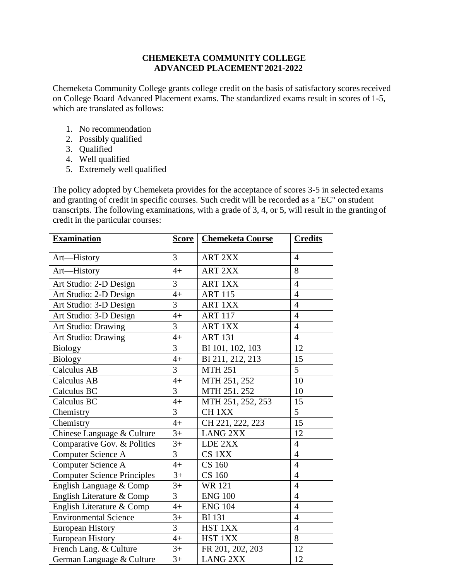## **CHEMEKETA COMMUNITY COLLEGE ADVANCED PLACEMENT 2021-2022**

Chemeketa Community College grants college credit on the basis of satisfactory scoresreceived on College Board Advanced Placement exams. The standardized exams result in scores of 1-5, which are translated as follows:

- 1. No recommendation
- 2. Possibly qualified
- 3. Qualified
- 4. Well qualified
- 5. Extremely well qualified

The policy adopted by Chemeketa provides for the acceptance of scores 3-5 in selected exams and granting of credit in specific courses. Such credit will be recorded as a "EC" on student transcripts. The following examinations, with a grade of 3, 4, or 5, will result in the granting of credit in the particular courses:

| <b>Examination</b>                 | <u>Score</u>   | <b>Chemeketa Course</b>        | <b>Credits</b> |
|------------------------------------|----------------|--------------------------------|----------------|
| Art-History                        | $\overline{3}$ | <b>ART 2XX</b>                 | $\overline{4}$ |
| Art-History                        | $4+$           | <b>ART 2XX</b>                 | 8              |
| Art Studio: 2-D Design             | 3              | <b>ART 1XX</b>                 | $\overline{4}$ |
| Art Studio: 2-D Design             | $4+$           | <b>ART 115</b>                 | $\overline{4}$ |
| Art Studio: 3-D Design             | $\overline{3}$ | <b>ART 1XX</b>                 | $\overline{4}$ |
| Art Studio: 3-D Design             | $4+$           | <b>ART 117</b>                 | $\overline{4}$ |
| Art Studio: Drawing                | 3              | <b>ART 1XX</b>                 | $\overline{4}$ |
| Art Studio: Drawing                | $4+$           | <b>ART 131</b>                 | $\overline{4}$ |
| <b>Biology</b>                     | $\overline{3}$ | BI 101, 102, 103               | 12             |
| <b>Biology</b>                     | $4+$           | BI 211, 212, 213               | 15             |
| <b>Calculus AB</b>                 | 3              | <b>MTH 251</b>                 | 5 <sup>5</sup> |
| <b>Calculus AB</b>                 | $4+$           | MTH 251, 252                   | 10             |
| Calculus BC                        | $\overline{3}$ | MTH 251.252                    | 10             |
| Calculus BC                        | $4+$           | MTH 251, 252, 253              | 15             |
| Chemistry                          | $\overline{3}$ | CH <sub>1</sub> X <sub>X</sub> | 5              |
| Chemistry                          | $4+$           | CH 221, 222, 223               | 15             |
| Chinese Language & Culture         | $3+$           | <b>LANG 2XX</b>                | 12             |
| Comparative Gov. & Politics        | $3+$           | LDE 2XX                        | $\overline{4}$ |
| <b>Computer Science A</b>          | 3              | CS 1XX                         | $\overline{4}$ |
| <b>Computer Science A</b>          | $4+$           | <b>CS 160</b>                  | $\overline{4}$ |
| <b>Computer Science Principles</b> | $3+$           | <b>CS 160</b>                  | $\overline{4}$ |
| English Language & Comp            | $3+$           | <b>WR121</b>                   | $\overline{4}$ |
| English Literature & Comp          | 3              | <b>ENG 100</b>                 | $\overline{4}$ |
| English Literature & Comp          | $4+$           | <b>ENG 104</b>                 | $\overline{4}$ |
| <b>Environmental Science</b>       | $3+$           | <b>BI</b> 131                  | $\overline{4}$ |
| European History                   | $\overline{3}$ | HST 1XX                        | $\overline{4}$ |
| <b>European History</b>            | $4+$           | HST 1XX                        | 8              |
| French Lang. & Culture             | $3+$           | FR 201, 202, 203               | 12             |
| German Language & Culture          | $3+$           | <b>LANG 2XX</b>                | 12             |